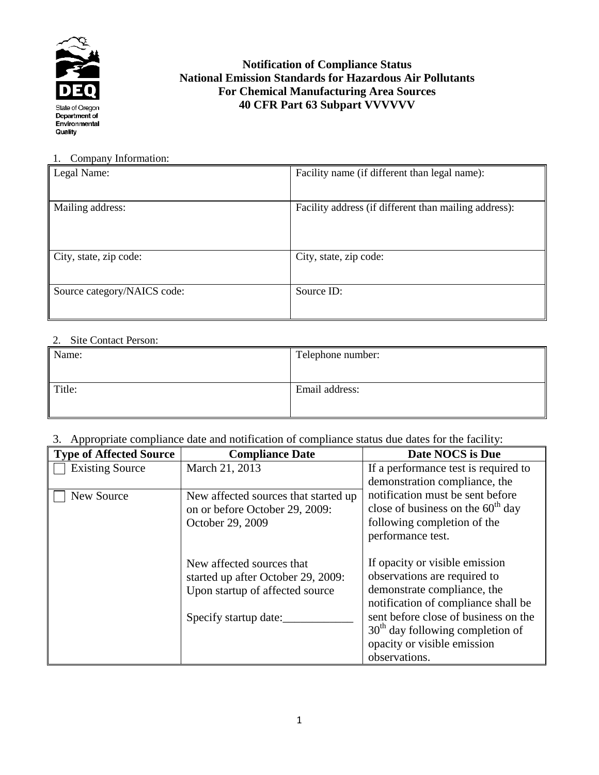

## **Notification of Compliance Status National Emission Standards for Hazardous Air Pollutants For Chemical Manufacturing Area Sources 40 CFR Part 63 Subpart VVVVVV**

#### 1. Company Information:

| Legal Name:                 | Facility name (if different than legal name):         |
|-----------------------------|-------------------------------------------------------|
| Mailing address:            | Facility address (if different than mailing address): |
| City, state, zip code:      | City, state, zip code:                                |
| Source category/NAICS code: | Source ID:                                            |

## 2. Site Contact Person:

| Name:  | Telephone number: |
|--------|-------------------|
| Title: | Email address:    |

## 3. Appropriate compliance date and notification of compliance status due dates for the facility:

| <b>Type of Affected Source</b> | <b>Compliance Date</b>               | Date NOCS is Due                     |
|--------------------------------|--------------------------------------|--------------------------------------|
| <b>Existing Source</b>         | March 21, 2013                       | If a performance test is required to |
|                                |                                      | demonstration compliance, the        |
| New Source                     | New affected sources that started up | notification must be sent before     |
|                                | on or before October 29, 2009:       | close of business on the $60th$ day  |
|                                | October 29, 2009                     | following completion of the          |
|                                |                                      | performance test.                    |
|                                |                                      |                                      |
|                                | New affected sources that            | If opacity or visible emission       |
|                                | started up after October 29, 2009:   | observations are required to         |
|                                | Upon startup of affected source      | demonstrate compliance, the          |
|                                |                                      | notification of compliance shall be  |
|                                | Specify startup date:                | sent before close of business on the |
|                                |                                      | $30th$ day following completion of   |
|                                |                                      | opacity or visible emission          |
|                                |                                      | observations.                        |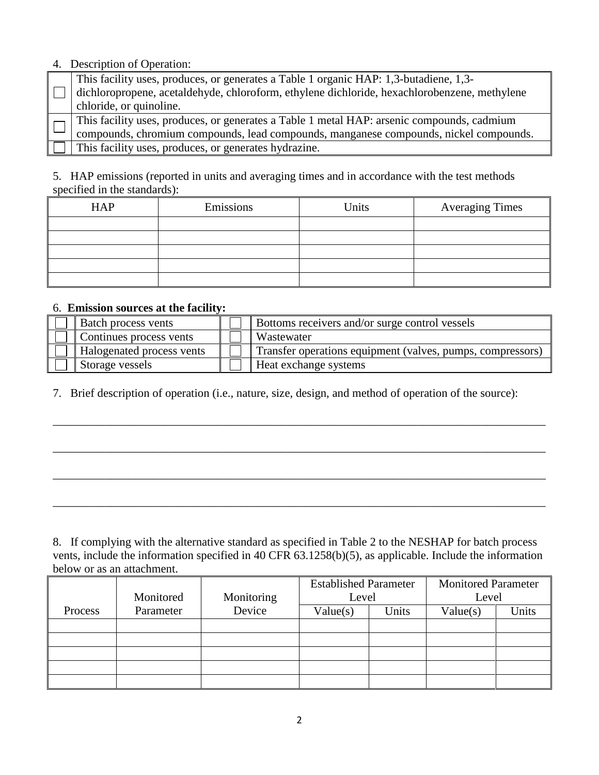## 4.Description of Operation:

| This facility uses, produces, or generates a Table 1 organic HAP: 1,3-butadiene, 1,3-        |
|----------------------------------------------------------------------------------------------|
| dichloropropene, acetaldehyde, chloroform, ethylene dichloride, hexachlorobenzene, methylene |
| chloride, or quinoline.                                                                      |
| This facility uses, produces, or generates a Table 1 metal HAP: arsenic compounds, cadmium   |
| compounds, chromium compounds, lead compounds, manganese compounds, nickel compounds.        |
| This facility uses, produces, or generates hydrazine.                                        |

5. HAP emissions (reported in units and averaging times and in accordance with the test methods specified in the standards):

| <b>HAP</b> | Emissions | Units | <b>Averaging Times</b> |
|------------|-----------|-------|------------------------|
|            |           |       |                        |
|            |           |       |                        |
|            |           |       |                        |
|            |           |       |                        |
|            |           |       |                        |

### 6. **Emission sources at the facility:**

| <b>Batch process vents</b>       | Bottoms receivers and/or surge control vessels             |
|----------------------------------|------------------------------------------------------------|
| Continues process vents          | Wastewater                                                 |
| <b>Halogenated process vents</b> | Transfer operations equipment (valves, pumps, compressors) |
| Storage vessels                  | Heat exchange systems                                      |

\_\_\_\_\_\_\_\_\_\_\_\_\_\_\_\_\_\_\_\_\_\_\_\_\_\_\_\_\_\_\_\_\_\_\_\_\_\_\_\_\_\_\_\_\_\_\_\_\_\_\_\_\_\_\_\_\_\_\_\_\_\_\_\_\_\_\_\_\_\_\_\_\_\_\_\_\_\_\_\_\_\_\_\_

\_\_\_\_\_\_\_\_\_\_\_\_\_\_\_\_\_\_\_\_\_\_\_\_\_\_\_\_\_\_\_\_\_\_\_\_\_\_\_\_\_\_\_\_\_\_\_\_\_\_\_\_\_\_\_\_\_\_\_\_\_\_\_\_\_\_\_\_\_\_\_\_\_\_\_\_\_\_\_\_\_\_\_\_

\_\_\_\_\_\_\_\_\_\_\_\_\_\_\_\_\_\_\_\_\_\_\_\_\_\_\_\_\_\_\_\_\_\_\_\_\_\_\_\_\_\_\_\_\_\_\_\_\_\_\_\_\_\_\_\_\_\_\_\_\_\_\_\_\_\_\_\_\_\_\_\_\_\_\_\_\_\_\_\_\_\_\_\_

\_\_\_\_\_\_\_\_\_\_\_\_\_\_\_\_\_\_\_\_\_\_\_\_\_\_\_\_\_\_\_\_\_\_\_\_\_\_\_\_\_\_\_\_\_\_\_\_\_\_\_\_\_\_\_\_\_\_\_\_\_\_\_\_\_\_\_\_\_\_\_\_\_\_\_\_\_\_\_\_\_\_\_\_

7. Brief description of operation (i.e., nature, size, design, and method of operation of the source):

8. If complying with the alternative standard as specified in Table 2 to the NESHAP for batch process vents, include the information specified in 40 CFR 63.1258(b)(5), as applicable. Include the information below or as an attachment.

|         |           |            | <b>Established Parameter</b> |       | <b>Monitored Parameter</b> |       |
|---------|-----------|------------|------------------------------|-------|----------------------------|-------|
|         | Monitored | Monitoring | Level                        |       | Level                      |       |
| Process | Parameter | Device     | Value(s)                     | Units | Value(s)                   | Units |
|         |           |            |                              |       |                            |       |
|         |           |            |                              |       |                            |       |
|         |           |            |                              |       |                            |       |
|         |           |            |                              |       |                            |       |
|         |           |            |                              |       |                            |       |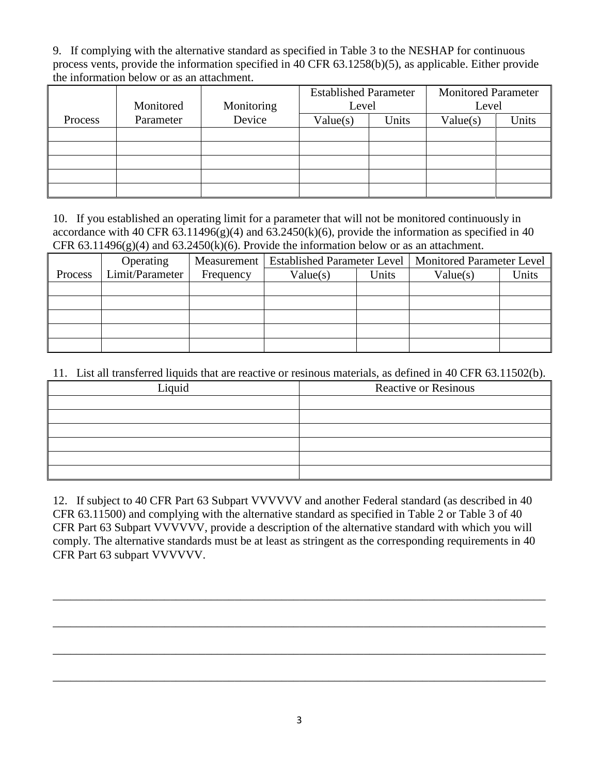9. If complying with the alternative standard as specified in Table 3 to the NESHAP for continuous process vents, provide the information specified in 40 CFR 63.1258(b)(5), as applicable. Either provide the information below or as an attachment.

|         |           |            | <b>Established Parameter</b> |       | <b>Monitored Parameter</b> |       |
|---------|-----------|------------|------------------------------|-------|----------------------------|-------|
|         | Monitored | Monitoring | Level                        |       | Level                      |       |
| Process | Parameter | Device     | Value(s)                     | Units | Value(s)                   | Units |
|         |           |            |                              |       |                            |       |
|         |           |            |                              |       |                            |       |
|         |           |            |                              |       |                            |       |
|         |           |            |                              |       |                            |       |
|         |           |            |                              |       |                            |       |

10. If you established an operating limit for a parameter that will not be monitored continuously in accordance with 40 CFR  $63.11496(g)(4)$  and  $63.2450(k)(6)$ , provide the information as specified in 40 CFR  $63.11496(g)(4)$  and  $63.2450(k)(6)$ . Provide the information below or as an attachment.

|         | Operating       | Measurement | <b>Established Parameter Level</b> |       | Monitored Parameter Level |       |
|---------|-----------------|-------------|------------------------------------|-------|---------------------------|-------|
| Process | Limit/Parameter | Frequency   | Value(s)                           | Jnits | Value(s)                  | Units |
|         |                 |             |                                    |       |                           |       |
|         |                 |             |                                    |       |                           |       |
|         |                 |             |                                    |       |                           |       |
|         |                 |             |                                    |       |                           |       |
|         |                 |             |                                    |       |                           |       |

# 11. List all transferred liquids that are reactive or resinous materials, as defined in 40 CFR 63.11502(b).

| Liquid | <b>Reactive or Resinous</b> |
|--------|-----------------------------|
|        |                             |
|        |                             |
|        |                             |
|        |                             |
|        |                             |
|        |                             |

12. If subject to 40 CFR Part 63 Subpart VVVVVV and another Federal standard (as described in 40 CFR 63.11500) and complying with the alternative standard as specified in Table 2 or Table 3 of 40 CFR Part 63 Subpart VVVVVV, provide a description of the alternative standard with which you will comply. The alternative standards must be at least as stringent as the corresponding requirements in 40 CFR Part 63 subpart VVVVVV.

\_\_\_\_\_\_\_\_\_\_\_\_\_\_\_\_\_\_\_\_\_\_\_\_\_\_\_\_\_\_\_\_\_\_\_\_\_\_\_\_\_\_\_\_\_\_\_\_\_\_\_\_\_\_\_\_\_\_\_\_\_\_\_\_\_\_\_\_\_\_\_\_\_\_\_\_\_\_\_\_\_\_\_\_

\_\_\_\_\_\_\_\_\_\_\_\_\_\_\_\_\_\_\_\_\_\_\_\_\_\_\_\_\_\_\_\_\_\_\_\_\_\_\_\_\_\_\_\_\_\_\_\_\_\_\_\_\_\_\_\_\_\_\_\_\_\_\_\_\_\_\_\_\_\_\_\_\_\_\_\_\_\_\_\_\_\_\_\_

\_\_\_\_\_\_\_\_\_\_\_\_\_\_\_\_\_\_\_\_\_\_\_\_\_\_\_\_\_\_\_\_\_\_\_\_\_\_\_\_\_\_\_\_\_\_\_\_\_\_\_\_\_\_\_\_\_\_\_\_\_\_\_\_\_\_\_\_\_\_\_\_\_\_\_\_\_\_\_\_\_\_\_\_

\_\_\_\_\_\_\_\_\_\_\_\_\_\_\_\_\_\_\_\_\_\_\_\_\_\_\_\_\_\_\_\_\_\_\_\_\_\_\_\_\_\_\_\_\_\_\_\_\_\_\_\_\_\_\_\_\_\_\_\_\_\_\_\_\_\_\_\_\_\_\_\_\_\_\_\_\_\_\_\_\_\_\_\_